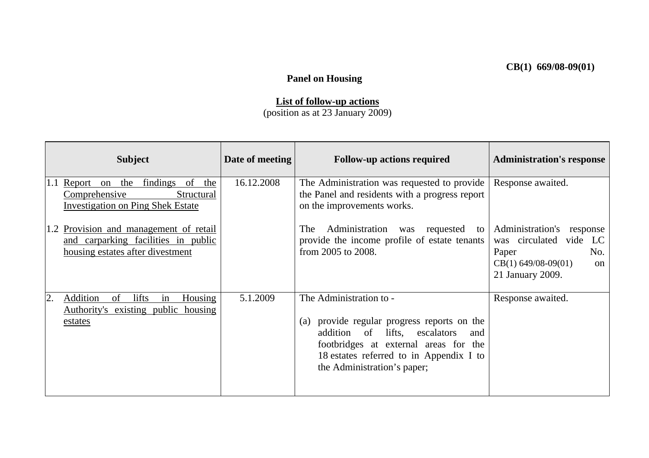## **Panel on Housing**

## **List of follow-up actions**

(position as at 23 January 2009)

| <b>Subject</b>                                                                                                       | Date of meeting | <b>Follow-up actions required</b>                                                                                                                                                                                                       | <b>Administration's response</b>                                                                                                     |
|----------------------------------------------------------------------------------------------------------------------|-----------------|-----------------------------------------------------------------------------------------------------------------------------------------------------------------------------------------------------------------------------------------|--------------------------------------------------------------------------------------------------------------------------------------|
| 1.1 Report on the findings of the<br>Comprehensive<br>Structural<br><b>Investigation on Ping Shek Estate</b>         | 16.12.2008      | The Administration was requested to provide<br>the Panel and residents with a progress report<br>on the improvements works.                                                                                                             | Response awaited.                                                                                                                    |
| Provision and management of retail<br>1.2<br>and carparking facilities in public<br>housing estates after divestment |                 | Administration<br>The<br>was<br>requested<br>to<br>provide the income profile of estate tenants<br>from 2005 to 2008.                                                                                                                   | Administration's response<br>was circulated vide<br>LC<br>Paper<br>No.<br>$CB(1)$ 649/08-09(01)<br><sub>on</sub><br>21 January 2009. |
| $\overline{2}$ .<br>Addition<br>lifts<br>Housing<br>of<br>in<br>Authority's existing public housing<br>estates       | 5.1.2009        | The Administration to -<br>(a) provide regular progress reports on the<br>lifts, escalators<br>addition<br>of<br>and<br>footbridges at external areas for the<br>18 estates referred to in Appendix I to<br>the Administration's paper; | Response awaited.                                                                                                                    |